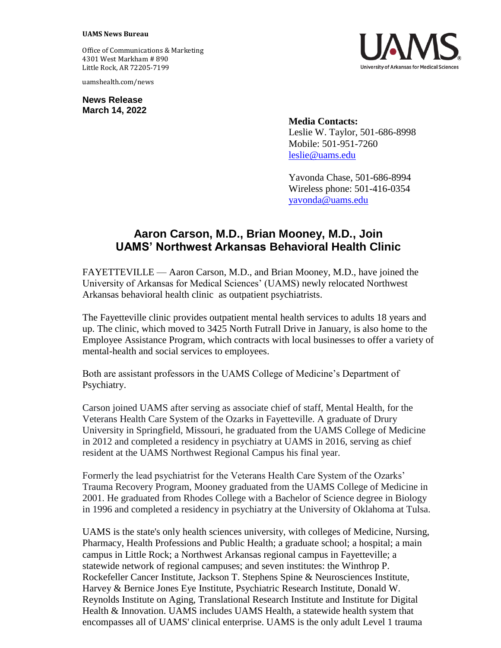## **UAMS News Bureau**

Office of Communications & Marketing 4301 West Markham # 890 Little Rock, AR 72205-7199

uamshealth.com/news

**News Release March 14, 2022**



**Media Contacts:** Leslie W. Taylor, 501-686-8998 Mobile: 501-951-7260 [leslie@uams.edu](mailto:leslie@uams.edu)

Yavonda Chase, 501-686-8994 Wireless phone: 501-416-0354 [yavonda@uams.edu](mailto:yavonda@uams.edu)

## **Aaron Carson, M.D., Brian Mooney, M.D., Join UAMS' Northwest Arkansas Behavioral Health Clinic**

FAYETTEVILLE — Aaron Carson, M.D., and Brian Mooney, M.D., have joined the University of Arkansas for Medical Sciences' (UAMS) newly relocated Northwest Arkansas behavioral health clinic as outpatient psychiatrists.

The Fayetteville clinic provides outpatient mental health services to adults 18 years and up. The clinic, which moved to 3425 North Futrall Drive in January, is also home to the Employee Assistance Program, which contracts with local businesses to offer a variety of mental-health and social services to employees.

Both are assistant professors in the UAMS College of Medicine's Department of Psychiatry.

Carson joined UAMS after serving as associate chief of staff, Mental Health, for the Veterans Health Care System of the Ozarks in Fayetteville. A graduate of Drury University in Springfield, Missouri, he graduated from the UAMS College of Medicine in 2012 and completed a residency in psychiatry at UAMS in 2016, serving as chief resident at the UAMS Northwest Regional Campus his final year.

Formerly the lead psychiatrist for the Veterans Health Care System of the Ozarks' Trauma Recovery Program, Mooney graduated from the UAMS College of Medicine in 2001. He graduated from Rhodes College with a Bachelor of Science degree in Biology in 1996 and completed a residency in psychiatry at the University of Oklahoma at Tulsa.

UAMS is the state's only health sciences university, with colleges of Medicine, Nursing, Pharmacy, Health Professions and Public Health; a graduate school; a hospital; a main campus in Little Rock; a Northwest Arkansas regional campus in Fayetteville; a statewide network of regional campuses; and seven institutes: the Winthrop P. Rockefeller Cancer Institute, Jackson T. Stephens Spine & Neurosciences Institute, Harvey & Bernice Jones Eye Institute, Psychiatric Research Institute, Donald W. Reynolds Institute on Aging, Translational Research Institute and Institute for Digital Health & Innovation. UAMS includes UAMS Health, a statewide health system that encompasses all of UAMS' clinical enterprise. UAMS is the only adult Level 1 trauma